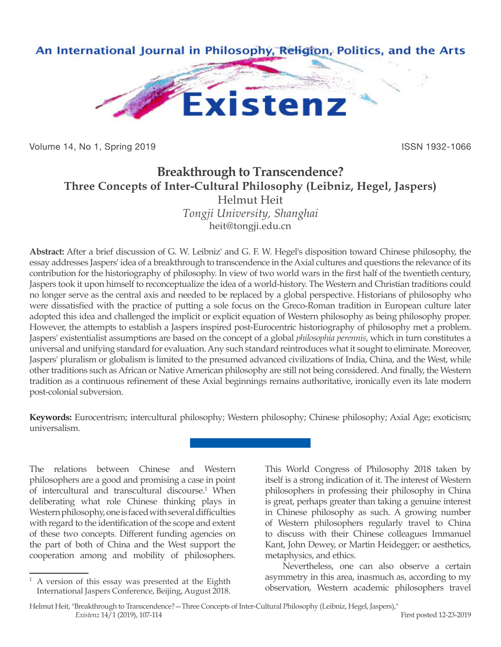

Volume 14, No 1, Spring 2019 **ISSN 1932-1066** ISSN 1932-1066

# **Breakthrough to Transcendence? Three Concepts of Inter-Cultural Philosophy (Leibniz, Hegel, Jaspers)** Helmut Heit

*Tongji University, Shanghai* heit@tongji.edu.cn

**Abstract:** After a brief discussion of G. W. Leibniz' and G. F. W. Hegel's disposition toward Chinese philosophy, the essay addresses Jaspers' idea of a breakthrough to transcendence in the Axial cultures and questions the relevance of its contribution for the historiography of philosophy. In view of two world wars in the first half of the twentieth century, Jaspers took it upon himself to reconceptualize the idea of a world-history. The Western and Christian traditions could no longer serve as the central axis and needed to be replaced by a global perspective. Historians of philosophy who were dissatisfied with the practice of putting a sole focus on the Greco-Roman tradition in European culture later adopted this idea and challenged the implicit or explicit equation of Western philosophy as being philosophy proper. However, the attempts to establish a Jaspers inspired post-Eurocentric historiography of philosophy met a problem. Jaspers' existentialist assumptions are based on the concept of a global *philosophia perennis*, which in turn constitutes a universal and unifying standard for evaluation. Any such standard reintroduces what it sought to eliminate. Moreover, Jaspers' pluralism or globalism is limited to the presumed advanced civilizations of India, China, and the West, while other traditions such as African or Native American philosophy are still not being considered. And finally, the Western tradition as a continuous refinement of these Axial beginnings remains authoritative, ironically even its late modern post-colonial subversion.

**Keywords:** Eurocentrism; intercultural philosophy; Western philosophy; Chinese philosophy; Axial Age; exoticism; universalism.

The relations between Chinese and Western philosophers are a good and promising a case in point of intercultural and transcultural discourse.<sup>1</sup> When deliberating what role Chinese thinking plays in Western philosophy, one is faced with several difficulties with regard to the identification of the scope and extent of these two concepts. Different funding agencies on the part of both of China and the West support the cooperation among and mobility of philosophers.

This World Congress of Philosophy 2018 taken by itself is a strong indication of it. The interest of Western philosophers in professing their philosophy in China is great, perhaps greater than taking a genuine interest in Chinese philosophy as such. A growing number of Western philosophers regularly travel to China to discuss with their Chinese colleagues Immanuel Kant, John Dewey, or Martin Heidegger; or aesthetics, metaphysics, and ethics.

Nevertheless, one can also observe a certain asymmetry in this area, inasmuch as, according to my observation, Western academic philosophers travel

 $1 A$  version of this essay was presented at the Eighth International Jaspers Conference, Beijing, August 2018.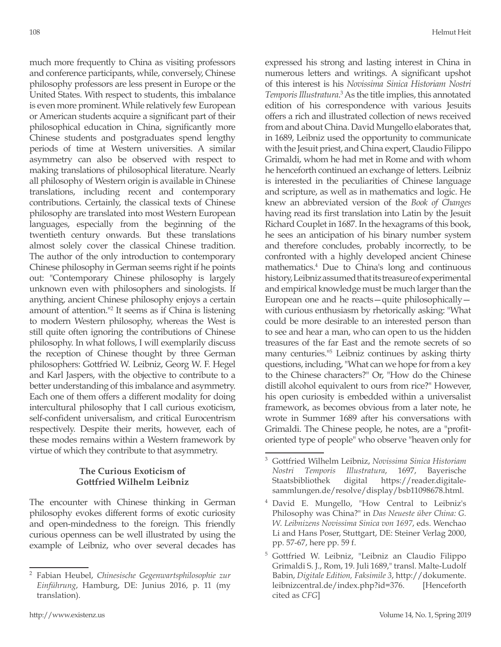much more frequently to China as visiting professors and conference participants, while, conversely, Chinese philosophy professors are less present in Europe or the United States. With respect to students, this imbalance is even more prominent. While relatively few European or American students acquire a significant part of their philosophical education in China, significantly more Chinese students and postgraduates spend lengthy periods of time at Western universities. A similar asymmetry can also be observed with respect to making translations of philosophical literature. Nearly all philosophy of Western origin is available in Chinese translations, including recent and contemporary contributions. Certainly, the classical texts of Chinese philosophy are translated into most Western European languages, especially from the beginning of the twentieth century onwards. But these translations almost solely cover the classical Chinese tradition. The author of the only introduction to contemporary Chinese philosophy in German seems right if he points out: "Contemporary Chinese philosophy is largely unknown even with philosophers and sinologists. If anything, ancient Chinese philosophy enjoys a certain amount of attention."2 It seems as if China is listening to modern Western philosophy, whereas the West is still quite often ignoring the contributions of Chinese philosophy. In what follows, I will exemplarily discuss the reception of Chinese thought by three German philosophers: Gottfried W. Leibniz, Georg W. F. Hegel and Karl Jaspers, with the objective to contribute to a better understanding of this imbalance and asymmetry. Each one of them offers a different modality for doing intercultural philosophy that I call curious exoticism, self-confident universalism, and critical Eurocentrism respectively. Despite their merits, however, each of these modes remains within a Western framework by virtue of which they contribute to that asymmetry.

#### **The Curious Exoticism of Gottfried Wilhelm Leibniz**

The encounter with Chinese thinking in German philosophy evokes different forms of exotic curiosity and open-mindedness to the foreign. This friendly curious openness can be well illustrated by using the example of Leibniz, who over several decades has expressed his strong and lasting interest in China in numerous letters and writings. A significant upshot of this interest is his *Novissima Sinica Historiam Nostri*  Temporis Illustratura.<sup>3</sup> As the title implies, this annotated edition of his correspondence with various Jesuits offers a rich and illustrated collection of news received from and about China. David Mungello elaborates that, in 1689, Leibniz used the opportunity to communicate with the Jesuit priest, and China expert, Claudio Filippo Grimaldi, whom he had met in Rome and with whom he henceforth continued an exchange of letters. Leibniz is interested in the peculiarities of Chinese language and scripture, as well as in mathematics and logic. He knew an abbreviated version of the *Book of Changes*  having read its first translation into Latin by the Jesuit Richard Couplet in 1687. In the hexagrams of this book, he sees an anticipation of his binary number system and therefore concludes, probably incorrectly, to be confronted with a highly developed ancient Chinese mathematics.4 Due to China's long and continuous history, Leibniz assumed that its treasure of experimental and empirical knowledge must be much larger than the European one and he reacts—quite philosophically with curious enthusiasm by rhetorically asking: "What could be more desirable to an interested person than to see and hear a man, who can open to us the hidden treasures of the far East and the remote secrets of so many centuries."5 Leibniz continues by asking thirty questions, including, "What can we hope for from a key to the Chinese characters?" Or, "How do the Chinese distill alcohol equivalent to ours from rice?" However, his open curiosity is embedded within a universalist framework, as becomes obvious from a later note, he wrote in Summer 1689 after his conversations with Grimaldi. The Chinese people, he notes, are a "profitoriented type of people" who observe "heaven only for

<sup>2</sup> Fabian Heubel, *Chinesische Gegenwartsphilosophie zur Einführung*, Hamburg, DE: Junius 2016, p. 11 (my translation).

<sup>3</sup> Gottfried Wilhelm Leibniz, *Novissima Sinica Historiam Nostri Temporis Illustratura*, 1697, Bayerische Staatsbibliothek digital https://reader.digitalesammlungen.de/resolve/display/bsb11098678.html.

<sup>4</sup> David E. Mungello, "How Central to Leibniz's Philosophy was China?" in *Das Neueste über China: G. W. Leibnizens Novissima Sinica von 1697*, eds. Wenchao Li and Hans Poser, Stuttgart, DE: Steiner Verlag 2000, pp. 57-67, here pp. 59 f.

<sup>&</sup>lt;sup>5</sup> Gottfried W. Leibniz, "Leibniz an Claudio Filippo Grimaldi S. J., Rom, 19. Juli 1689," transl. Malte-Ludolf Babin, *Digitale Edition, Faksimile 3*, http://dokumente. leibnizcentral.de/index.php?id=376. [Henceforth cited as *CFG*]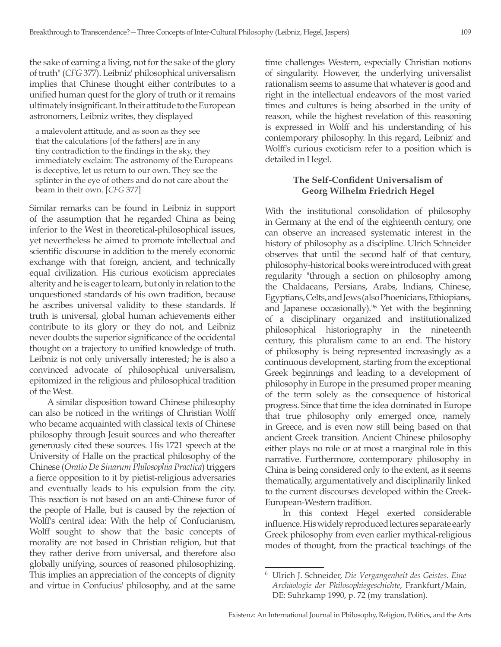the sake of earning a living, not for the sake of the glory of truth" (*CFG* 377). Leibniz' philosophical universalism implies that Chinese thought either contributes to a unified human quest for the glory of truth or it remains ultimately insignificant. In their attitude to the European astronomers, Leibniz writes, they displayed

a malevolent attitude, and as soon as they see that the calculations [of the fathers] are in any tiny contradiction to the findings in the sky, they immediately exclaim: The astronomy of the Europeans is deceptive, let us return to our own. They see the splinter in the eye of others and do not care about the beam in their own. [*CFG* 377]

Similar remarks can be found in Leibniz in support of the assumption that he regarded China as being inferior to the West in theoretical-philosophical issues, yet nevertheless he aimed to promote intellectual and scientific discourse in addition to the merely economic exchange with that foreign, ancient, and technically equal civilization. His curious exoticism appreciates alterity and he is eager to learn, but only in relation to the unquestioned standards of his own tradition, because he ascribes universal validity to these standards. If truth is universal, global human achievements either contribute to its glory or they do not, and Leibniz never doubts the superior significance of the occidental thought on a trajectory to unified knowledge of truth. Leibniz is not only universally interested; he is also a convinced advocate of philosophical universalism, epitomized in the religious and philosophical tradition of the West.

A similar disposition toward Chinese philosophy can also be noticed in the writings of Christian Wolff who became acquainted with classical texts of Chinese philosophy through Jesuit sources and who thereafter generously cited these sources. His 1721 speech at the University of Halle on the practical philosophy of the Chinese (*Oratio De Sinarum Philosophia Practica*) triggers a fierce opposition to it by pietist-religious adversaries and eventually leads to his expulsion from the city. This reaction is not based on an anti-Chinese furor of the people of Halle, but is caused by the rejection of Wolff's central idea: With the help of Confucianism, Wolff sought to show that the basic concepts of morality are not based in Christian religion, but that they rather derive from universal, and therefore also globally unifying, sources of reasoned philosophizing. This implies an appreciation of the concepts of dignity and virtue in Confucius' philosophy, and at the same time challenges Western, especially Christian notions of singularity. However, the underlying universalist rationalism seems to assume that whatever is good and right in the intellectual endeavors of the most varied times and cultures is being absorbed in the unity of reason, while the highest revelation of this reasoning is expressed in Wolff and his understanding of his contemporary philosophy. In this regard, Leibniz' and Wolff's curious exoticism refer to a position which is detailed in Hegel.

## **The Self-Confident Universalism of Georg Wilhelm Friedrich Hegel**

With the institutional consolidation of philosophy in Germany at the end of the eighteenth century, one can observe an increased systematic interest in the history of philosophy as a discipline. Ulrich Schneider observes that until the second half of that century, philosophy-historical books were introduced with great regularity "through a section on philosophy among the Chaldaeans, Persians, Arabs, Indians, Chinese, Egyptians, Celts, and Jews (also Phoenicians, Ethiopians, and Japanese occasionally)."6 Yet with the beginning of a disciplinary organized and institutionalized philosophical historiography in the nineteenth century, this pluralism came to an end. The history of philosophy is being represented increasingly as a continuous development, starting from the exceptional Greek beginnings and leading to a development of philosophy in Europe in the presumed proper meaning of the term solely as the consequence of historical progress. Since that time the idea dominated in Europe that true philosophy only emerged once, namely in Greece, and is even now still being based on that ancient Greek transition. Ancient Chinese philosophy either plays no role or at most a marginal role in this narrative. Furthermore, contemporary philosophy in China is being considered only to the extent, as it seems thematically, argumentatively and disciplinarily linked to the current discourses developed within the Greek-European-Western tradition.

In this context Hegel exerted considerable influence. His widely reproduced lectures separate early Greek philosophy from even earlier mythical-religious modes of thought, from the practical teachings of the

<sup>6</sup> Ulrich J. Schneider, *Die Vergangenheit des Geistes. Eine Archäologie der Philosophiegeschichte*, Frankfurt/Main, DE: Suhrkamp 1990, p. 72 (my translation).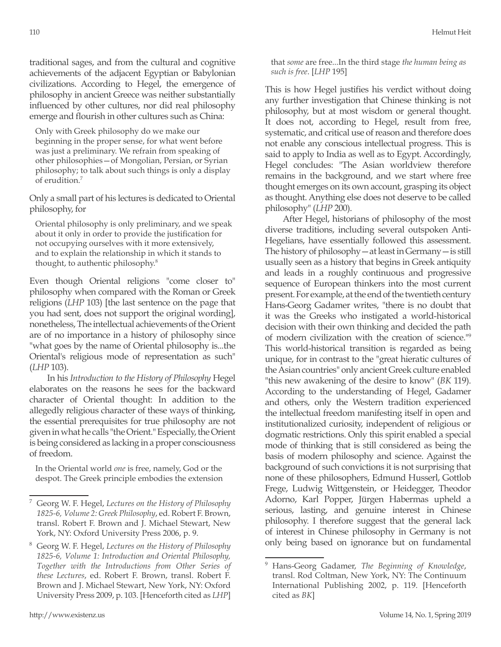traditional sages, and from the cultural and cognitive achievements of the adjacent Egyptian or Babylonian civilizations. According to Hegel, the emergence of philosophy in ancient Greece was neither substantially influenced by other cultures, nor did real philosophy emerge and flourish in other cultures such as China:

Only with Greek philosophy do we make our beginning in the proper sense, for what went before was just a preliminary. We refrain from speaking of other philosophies—of Mongolian, Persian, or Syrian philosophy; to talk about such things is only a display of erudition.<sup>7</sup>

Only a small part of his lectures is dedicated to Oriental philosophy, for

Oriental philosophy is only preliminary, and we speak about it only in order to provide the justification for not occupying ourselves with it more extensively, and to explain the relationship in which it stands to thought, to authentic philosophy.8

Even though Oriental religions "come closer to" philosophy when compared with the Roman or Greek religions (*LHP* 103) [the last sentence on the page that you had sent, does not support the original wording], nonetheless, The intellectual achievements of the Orient are of no importance in a history of philosophy since "what goes by the name of Oriental philosophy is...the Oriental's religious mode of representation as such" (*LHP* 103).

In his *Introduction to the History of Philosophy* Hegel elaborates on the reasons he sees for the backward character of Oriental thought: In addition to the allegedly religious character of these ways of thinking, the essential prerequisites for true philosophy are not given in what he calls "the Orient." Especially, the Orient is being considered as lacking in a proper consciousness of freedom.

In the Oriental world *one* is free, namely, God or the despot. The Greek principle embodies the extension that *some* are free...In the third stage *the human being as such is free*. [*LHP* 195]

This is how Hegel justifies his verdict without doing any further investigation that Chinese thinking is not philosophy, but at most wisdom or general thought. It does not, according to Hegel, result from free, systematic, and critical use of reason and therefore does not enable any conscious intellectual progress. This is said to apply to India as well as to Egypt. Accordingly, Hegel concludes: "The Asian worldview therefore remains in the background, and we start where free thought emerges on its own account, grasping its object as thought. Anything else does not deserve to be called philosophy" (*LHP* 200).

After Hegel, historians of philosophy of the most diverse traditions, including several outspoken Anti-Hegelians, have essentially followed this assessment. The history of philosophy—at least in Germany—is still usually seen as a history that begins in Greek antiquity and leads in a roughly continuous and progressive sequence of European thinkers into the most current present. For example, at the end of the twentieth century Hans-Georg Gadamer writes, "there is no doubt that it was the Greeks who instigated a world-historical decision with their own thinking and decided the path of modern civilization with the creation of science."9 This world-historical transition is regarded as being unique, for in contrast to the "great hieratic cultures of the Asian countries" only ancient Greek culture enabled "this new awakening of the desire to know" (*BK* 119). According to the understanding of Hegel, Gadamer and others, only the Western tradition experienced the intellectual freedom manifesting itself in open and institutionalized curiosity, independent of religious or dogmatic restrictions. Only this spirit enabled a special mode of thinking that is still considered as being the basis of modern philosophy and science. Against the background of such convictions it is not surprising that none of these philosophers, Edmund Husserl, Gottlob Frege, Ludwig Wittgenstein, or Heidegger, Theodor Adorno, Karl Popper, Jürgen Habermas upheld a serious, lasting, and genuine interest in Chinese philosophy. I therefore suggest that the general lack of interest in Chinese philosophy in Germany is not only being based on ignorance but on fundamental

<sup>7</sup> Georg W. F. Hegel, *Lectures on the History of Philosophy 1825-6, Volume 2: Greek Philosophy*, ed. Robert F. Brown, transl. Robert F. Brown and J. Michael Stewart, New York, NY: Oxford University Press 2006, p. 9.

<sup>8</sup> Georg W. F. Hegel, *Lectures on the History of Philosophy 1825-6, Volume 1: Introduction and Oriental Philosophy, Together with the Introductions from Other Series of these Lectures*, ed. Robert F. Brown, transl. Robert F. Brown and J. Michael Stewart, New York, NY: Oxford University Press 2009, p. 103. [Henceforth cited as *LHP*]

<sup>9</sup> Hans-Georg Gadamer, *The Beginning of Knowledge*, transl. Rod Coltman, New York, NY: The Continuum International Publishing 2002, p. 119. [Henceforth cited as *BK*]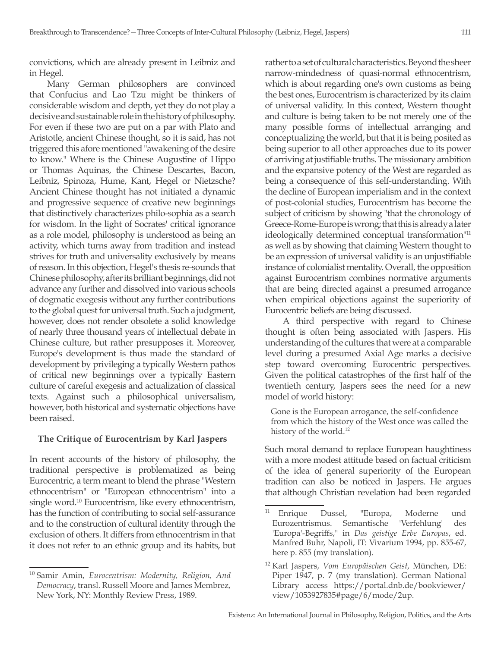convictions, which are already present in Leibniz and in Hegel.

Many German philosophers are convinced that Confucius and Lao Tzu might be thinkers of considerable wisdom and depth, yet they do not play a decisive and sustainable role in the history of philosophy. For even if these two are put on a par with Plato and Aristotle, ancient Chinese thought, so it is said, has not triggered this afore mentioned "awakening of the desire to know." Where is the Chinese Augustine of Hippo or Thomas Aquinas, the Chinese Descartes, Bacon, Leibniz, Spinoza, Hume, Kant, Hegel or Nietzsche? Ancient Chinese thought has not initiated a dynamic and progressive sequence of creative new beginnings that distinctively characterizes philo-sophia as a search for wisdom. In the light of Socrates' critical ignorance as a role model, philosophy is understood as being an activity, which turns away from tradition and instead strives for truth and universality exclusively by means of reason. In this objection, Hegel's thesis re-sounds that Chinese philosophy, after its brilliant beginnings, did not advance any further and dissolved into various schools of dogmatic exegesis without any further contributions to the global quest for universal truth. Such a judgment, however, does not render obsolete a solid knowledge of nearly three thousand years of intellectual debate in Chinese culture, but rather presupposes it. Moreover, Europe's development is thus made the standard of development by privileging a typically Western pathos of critical new beginnings over a typically Eastern culture of careful exegesis and actualization of classical texts. Against such a philosophical universalism, however, both historical and systematic objections have been raised.

#### **The Critique of Eurocentrism by Karl Jaspers**

In recent accounts of the history of philosophy, the traditional perspective is problematized as being Eurocentric, a term meant to blend the phrase "Western ethnocentrism" or "European ethnocentrism" into a single word.<sup>10</sup> Eurocentrism, like every ethnocentrism, has the function of contributing to social self-assurance and to the construction of cultural identity through the exclusion of others. It differs from ethnocentrism in that it does not refer to an ethnic group and its habits, but rather to a set of cultural characteristics. Beyond the sheer narrow-mindedness of quasi-normal ethnocentrism, which is about regarding one's own customs as being the best ones, Eurocentrism is characterized by its claim of universal validity. In this context, Western thought and culture is being taken to be not merely one of the many possible forms of intellectual arranging and conceptualizing the world, but that it is being posited as being superior to all other approaches due to its power of arriving at justifiable truths. The missionary ambition and the expansive potency of the West are regarded as being a consequence of this self-understanding. With the decline of European imperialism and in the context of post-colonial studies, Eurocentrism has become the subject of criticism by showing "that the chronology of Greece-Rome-Europe is wrong; that this is already a later ideologically determined conceptual transformation<sup>"11</sup> as well as by showing that claiming Western thought to be an expression of universal validity is an unjustifiable instance of colonialist mentality. Overall, the opposition against Eurocentrism combines normative arguments that are being directed against a presumed arrogance when empirical objections against the superiority of Eurocentric beliefs are being discussed.

A third perspective with regard to Chinese thought is often being associated with Jaspers. His understanding of the cultures that were at a comparable level during a presumed Axial Age marks a decisive step toward overcoming Eurocentric perspectives. Given the political catastrophes of the first half of the twentieth century, Jaspers sees the need for a new model of world history:

Gone is the European arrogance, the self-confidence from which the history of the West once was called the history of the world.<sup>12</sup>

Such moral demand to replace European haughtiness with a more modest attitude based on factual criticism of the idea of general superiority of the European tradition can also be noticed in Jaspers. He argues that although Christian revelation had been regarded

<sup>10</sup> Samir Amin, *Eurocentrism: Modernity, Religion, And Democracy*, transl. Russell Moore and James Membrez, New York, NY: Monthly Review Press, 1989.

<sup>&</sup>lt;sup>11</sup> Enrique Dussel, "Europa, Moderne und Eurozentrismus. Semantische 'Verfehlung' des 'Europa'-Begriffs," in *Das geistige Erbe Europas*, ed. Manfred Buhr, Napoli, IT: Vivarium 1994, pp. 855-67, here p. 855 (my translation).

<sup>12</sup> Karl Jaspers, *Vom Europäischen Geist*, München, DE: Piper 1947, p. 7 (my translation). German National Library access https://portal.dnb.de/bookviewer/ view/1053927835#page/6/mode/2up.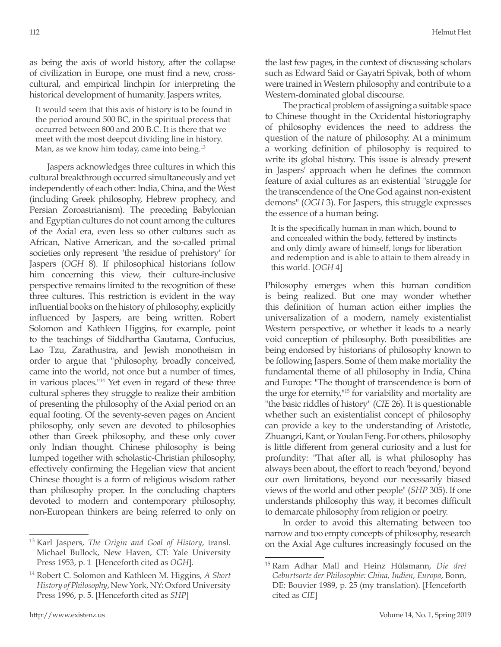as being the axis of world history, after the collapse of civilization in Europe, one must find a new, crosscultural, and empirical linchpin for interpreting the historical development of humanity. Jaspers writes,

It would seem that this axis of history is to be found in the period around 500 BC, in the spiritual process that occurred between 800 and 200 B.C. It is there that we meet with the most deepcut dividing line in history. Man, as we know him today, came into being.<sup>13</sup>

Jaspers acknowledges three cultures in which this cultural breakthrough occurred simultaneously and yet independently of each other: India, China, and the West (including Greek philosophy, Hebrew prophecy, and Persian Zoroastrianism). The preceding Babylonian and Egyptian cultures do not count among the cultures of the Axial era, even less so other cultures such as African, Native American, and the so-called primal societies only represent "the residue of prehistory" for Jaspers (*OGH* 8). If philosophical historians follow him concerning this view, their culture-inclusive perspective remains limited to the recognition of these three cultures. This restriction is evident in the way influential books on the history of philosophy, explicitly influenced by Jaspers, are being written. Robert Solomon and Kathleen Higgins, for example, point to the teachings of Siddhartha Gautama, Confucius, Lao Tzu, Zarathustra, and Jewish monotheism in order to argue that "philosophy, broadly conceived, came into the world, not once but a number of times, in various places."14 Yet even in regard of these three cultural spheres they struggle to realize their ambition of presenting the philosophy of the Axial period on an equal footing. Of the seventy-seven pages on Ancient philosophy, only seven are devoted to philosophies other than Greek philosophy, and these only cover only Indian thought. Chinese philosophy is being lumped together with scholastic-Christian philosophy, effectively confirming the Hegelian view that ancient Chinese thought is a form of religious wisdom rather than philosophy proper. In the concluding chapters devoted to modern and contemporary philosophy, non-European thinkers are being referred to only on the last few pages, in the context of discussing scholars such as Edward Said or Gayatri Spivak, both of whom were trained in Western philosophy and contribute to a Western-dominated global discourse.

The practical problem of assigning a suitable space to Chinese thought in the Occidental historiography of philosophy evidences the need to address the question of the nature of philosophy. At a minimum a working definition of philosophy is required to write its global history. This issue is already present in Jaspers' approach when he defines the common feature of axial cultures as an existential "struggle for the transcendence of the One God against non-existent demons" (*OGH* 3). For Jaspers, this struggle expresses the essence of a human being.

It is the specifically human in man which, bound to and concealed within the body, fettered by instincts and only dimly aware of himself, longs for liberation and redemption and is able to attain to them already in this world. [*OGH* 4]

Philosophy emerges when this human condition is being realized. But one may wonder whether this definition of human action either implies the universalization of a modern, namely existentialist Western perspective, or whether it leads to a nearly void conception of philosophy. Both possibilities are being endorsed by historians of philosophy known to be following Jaspers. Some of them make mortality the fundamental theme of all philosophy in India, China and Europe: "The thought of transcendence is born of the urge for eternity,"15 for variability and mortality are "the basic riddles of history" (*CIE* 26). It is questionable whether such an existentialist concept of philosophy can provide a key to the understanding of Aristotle, Zhuangzi, Kant, or Youlan Feng. For others, philosophy is little different from general curiosity and a lust for profundity: "That after all, is what philosophy has always been about, the effort to reach 'beyond,' beyond our own limitations, beyond our necessarily biased views of the world and other people" (*SHP* 305). If one understands philosophy this way, it becomes difficult to demarcate philosophy from religion or poetry.

In order to avoid this alternating between too narrow and too empty concepts of philosophy, research on the Axial Age cultures increasingly focused on the

<sup>13</sup> Karl Jaspers, *The Origin and Goal of History*, transl. Michael Bullock, New Haven, CT: Yale University Press 1953, p. 1 [Henceforth cited as *OGH*].

<sup>14</sup> Robert C. Solomon and Kathleen M. Higgins, *A Short History of Philosophy*, New York, NY: Oxford University Press 1996, p. 5. [Henceforth cited as *SHP*]

<sup>15</sup> Ram Adhar Mall and Heinz Hülsmann, *Die drei Geburtsorte der Philosophie: China, Indien, Europa*, Bonn, DE: Bouvier 1989, p. 25 (my translation). [Henceforth cited as *CIE*]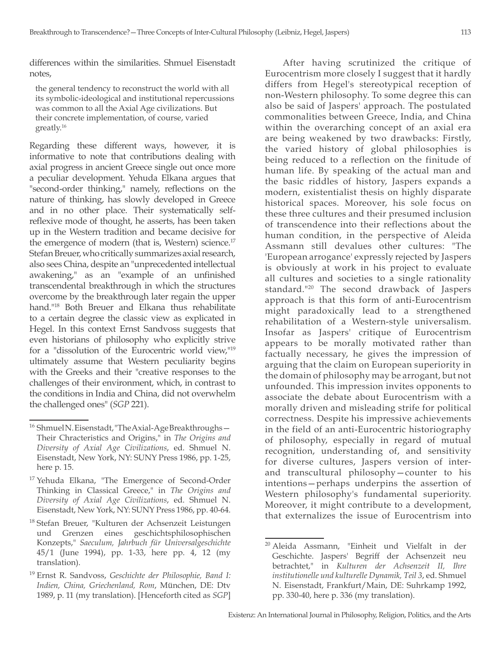differences within the similarities. Shmuel Eisenstadt notes,

the general tendency to reconstruct the world with all its symbolic-ideological and institutional repercussions was common to all the Axial Age civilizations. But their concrete implementation, of course, varied greatly.16

Regarding these different ways, however, it is informative to note that contributions dealing with axial progress in ancient Greece single out once more a peculiar development. Yehuda Elkana argues that "second-order thinking," namely, reflections on the nature of thinking, has slowly developed in Greece and in no other place. Their systematically selfreflexive mode of thought, he asserts, has been taken up in the Western tradition and became decisive for the emergence of modern (that is, Western) science.<sup>17</sup> Stefan Breuer, who critically summarizes axial research, also sees China, despite an "unprecedented intellectual awakening," as an "example of an unfinished transcendental breakthrough in which the structures overcome by the breakthrough later regain the upper hand."18 Both Breuer and Elkana thus rehabilitate to a certain degree the classic view as explicated in Hegel. In this context Ernst Sandvoss suggests that even historians of philosophy who explicitly strive for a "dissolution of the Eurocentric world view,"<sup>19</sup> ultimately assume that Western peculiarity begins with the Greeks and their "creative responses to the challenges of their environment, which, in contrast to the conditions in India and China, did not overwhelm the challenged ones" (*SGP* 221).

After having scrutinized the critique of Eurocentrism more closely I suggest that it hardly differs from Hegel's stereotypical reception of non-Western philosophy. To some degree this can also be said of Jaspers' approach. The postulated commonalities between Greece, India, and China within the overarching concept of an axial era are being weakened by two drawbacks: Firstly, the varied history of global philosophies is being reduced to a reflection on the finitude of human life. By speaking of the actual man and the basic riddles of history, Jaspers expands a modern, existentialist thesis on highly disparate historical spaces. Moreover, his sole focus on these three cultures and their presumed inclusion of transcendence into their reflections about the human condition, in the perspective of Aleida Assmann still devalues other cultures: "The 'European arrogance' expressly rejected by Jaspers is obviously at work in his project to evaluate all cultures and societies to a single rationality standard."20 The second drawback of Jaspers approach is that this form of anti-Eurocentrism might paradoxically lead to a strengthened rehabilitation of a Western-style universalism. Insofar as Jaspers' critique of Eurocentrism appears to be morally motivated rather than factually necessary, he gives the impression of arguing that the claim on European superiority in the domain of philosophy may be arrogant, but not unfounded. This impression invites opponents to associate the debate about Eurocentrism with a morally driven and misleading strife for political correctness. Despite his impressive achievements in the field of an anti-Eurocentric historiography of philosophy, especially in regard of mutual recognition, understanding of, and sensitivity for diverse cultures, Jaspers version of interand transcultural philosophy—counter to his intentions—perhaps underpins the assertion of Western philosophy's fundamental superiority. Moreover, it might contribute to a development, that externalizes the issue of Eurocentrism into

<sup>&</sup>lt;sup>16</sup> Shmuel N. Eisenstadt, "The Axial-Age Breakthroughs-Their Chracteristics and Origins," in *The Origins and Diversity of Axial Age Civilizations*, ed. Shmuel N. Eisenstadt, New York, NY: SUNY Press 1986, pp. 1-25, here p. 15.

<sup>&</sup>lt;sup>17</sup> Yehuda Elkana, "The Emergence of Second-Order Thinking in Classical Greece," in *The Origins and Diversity of Axial Age Civilizations*, ed. Shmuel N. Eisenstadt, New York, NY: SUNY Press 1986, pp. 40-64.

<sup>18</sup> Stefan Breuer, "Kulturen der Achsenzeit Leistungen und Grenzen eines geschichtsphilosophischen Konzepts," *Saeculum, Jahrbuch für Universalgeschichte* 45/1 (June 1994), pp. 1-33, here pp. 4, 12 (my translation).

<sup>19</sup> Ernst R. Sandvoss, *Geschichte der Philosophie, Band I: Indien, China, Griechenland, Rom*, München, DE: Dtv 1989, p. 11 (my translation). [Henceforth cited as *SGP*]

<sup>20</sup> Aleida Assmann, "Einheit und Vielfalt in der Geschichte. Jaspers' Begriff der Achsenzeit neu betrachtet," in *Kulturen der Achsenzeit II, Ihre institutionelle und kulturelle Dynamik, Teil 3*, ed. Shmuel N. Eisenstadt, Frankfurt/Main, DE: Suhrkamp 1992, pp. 330-40, here p. 336 (my translation).